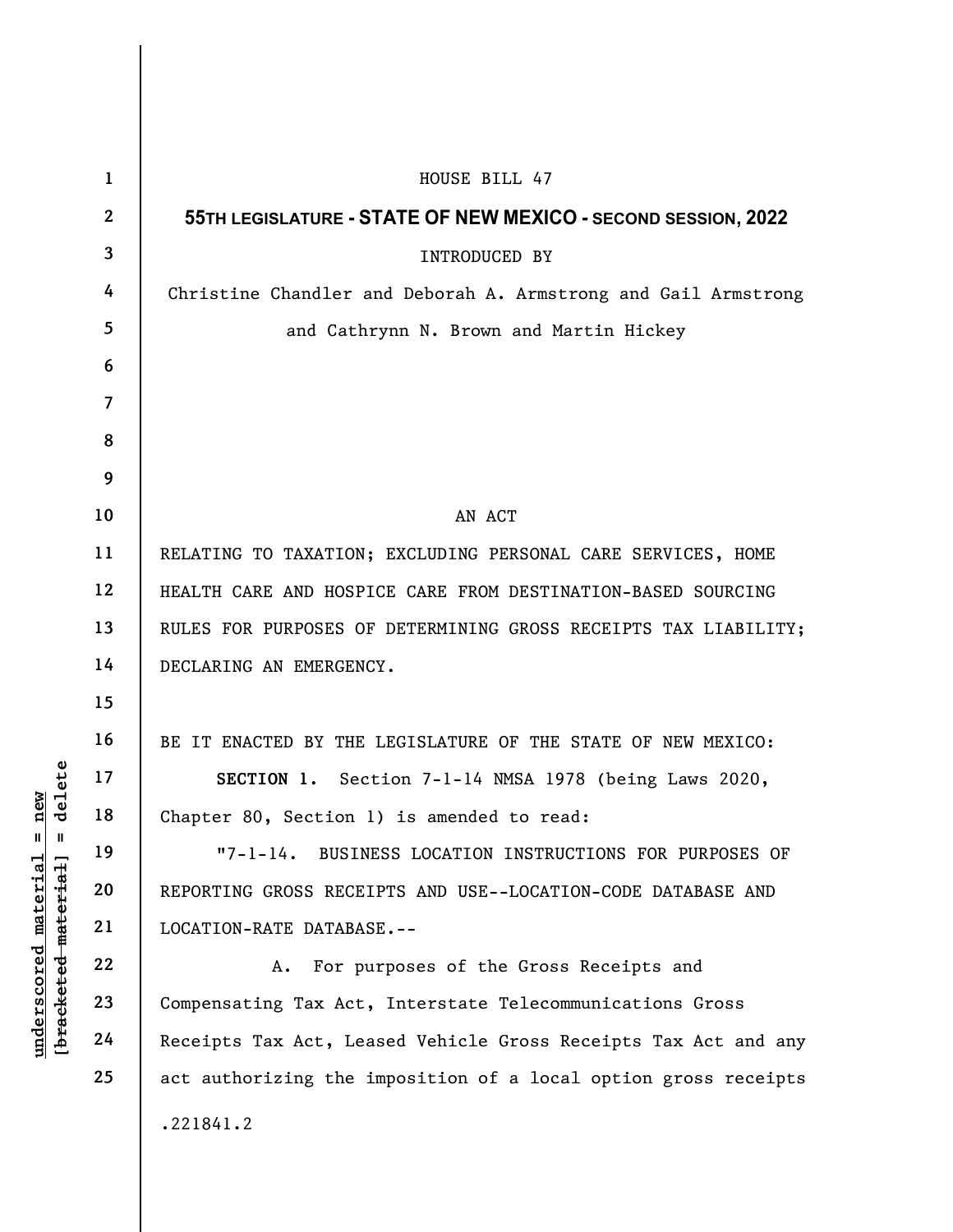|                                                                                              | $\mathbf{1}$   | HOUSE BILL 47                                                    |
|----------------------------------------------------------------------------------------------|----------------|------------------------------------------------------------------|
|                                                                                              | $\mathbf{2}$   | 55TH LEGISLATURE - STATE OF NEW MEXICO - SECOND SESSION, 2022    |
|                                                                                              | $\mathbf{3}$   | <b>INTRODUCED BY</b>                                             |
|                                                                                              | 4              | Christine Chandler and Deborah A. Armstrong and Gail Armstrong   |
|                                                                                              | 5              | and Cathrynn N. Brown and Martin Hickey                          |
|                                                                                              | 6              |                                                                  |
|                                                                                              | $\overline{7}$ |                                                                  |
|                                                                                              | 8              |                                                                  |
| delete<br>new<br>$^{\mathsf{II}}$<br>$\mathbf{I}$<br><u>material</u><br>[bracketed-material] | 9              |                                                                  |
|                                                                                              | 10             | AN ACT                                                           |
|                                                                                              | 11             | RELATING TO TAXATION; EXCLUDING PERSONAL CARE SERVICES, HOME     |
|                                                                                              | 12             | HEALTH CARE AND HOSPICE CARE FROM DESTINATION-BASED SOURCING     |
|                                                                                              | 13             | RULES FOR PURPOSES OF DETERMINING GROSS RECEIPTS TAX LIABILITY;  |
|                                                                                              | 14             | DECLARING AN EMERGENCY.                                          |
|                                                                                              | 15             |                                                                  |
|                                                                                              | 16             | BE IT ENACTED BY THE LEGISLATURE OF THE STATE OF NEW MEXICO:     |
|                                                                                              | 17             | SECTION 1. Section 7-1-14 NMSA 1978 (being Laws 2020,            |
|                                                                                              | 18             | Chapter 80, Section 1) is amended to read:                       |
|                                                                                              | 19             | BUSINESS LOCATION INSTRUCTIONS FOR PURPOSES OF<br>$"7 - 1 - 14.$ |
|                                                                                              | 20             | REPORTING GROSS RECEIPTS AND USE--LOCATION-CODE DATABASE AND     |
|                                                                                              | 21             | LOCATION-RATE DATABASE.--                                        |
|                                                                                              | 22             | For purposes of the Gross Receipts and<br>Α.                     |
| underscored                                                                                  | 23             | Compensating Tax Act, Interstate Telecommunications Gross        |
|                                                                                              | 24             | Receipts Tax Act, Leased Vehicle Gross Receipts Tax Act and any  |
|                                                                                              | 25             | act authorizing the imposition of a local option gross receipts  |
|                                                                                              |                | .221841.2                                                        |
|                                                                                              |                |                                                                  |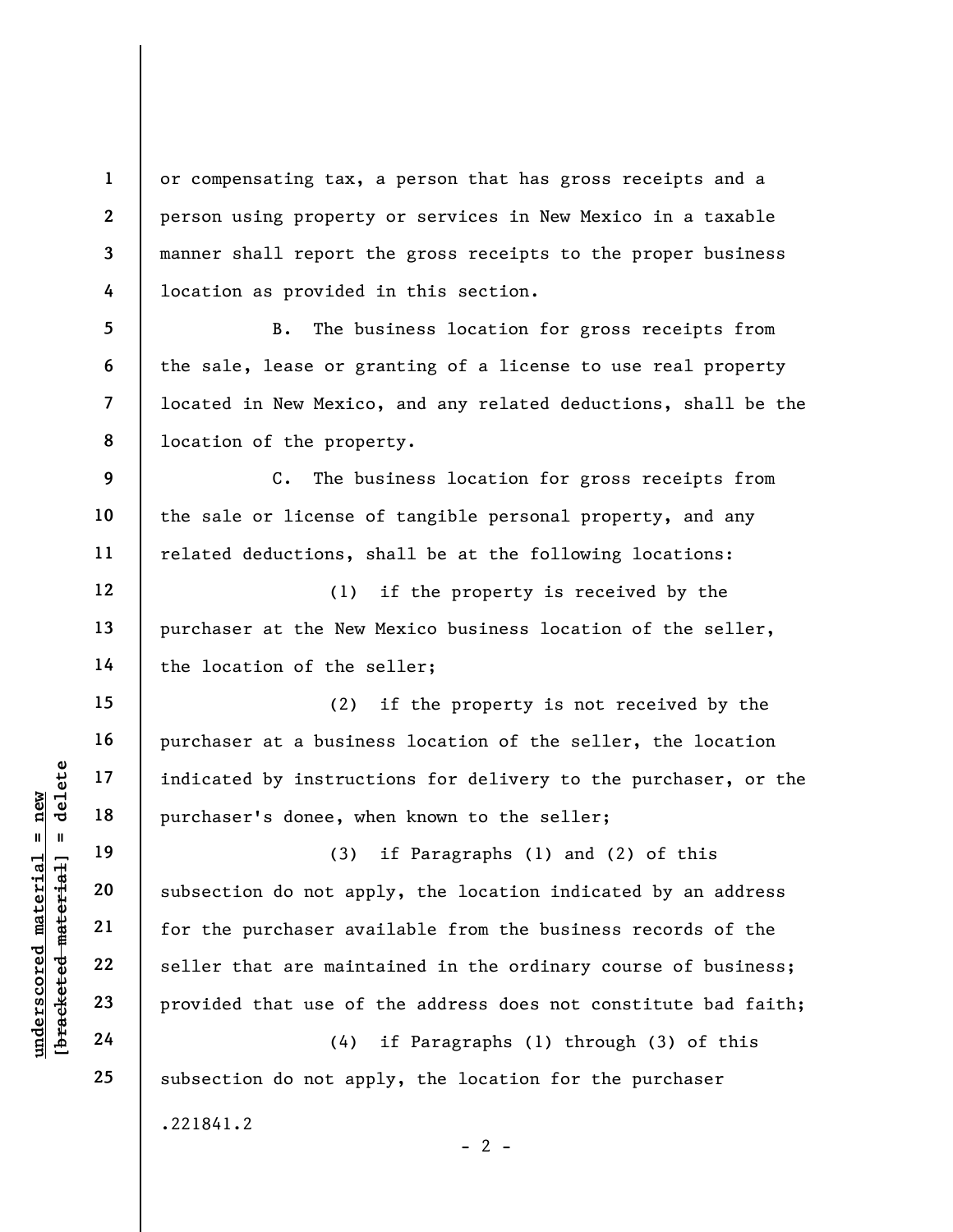or compensating tax, a person that has gross receipts and a person using property or services in New Mexico in a taxable manner shall report the gross receipts to the proper business location as provided in this section.

B. The business location for gross receipts from the sale, lease or granting of a license to use real property located in New Mexico, and any related deductions, shall be the location of the property.

C. The business location for gross receipts from the sale or license of tangible personal property, and any related deductions, shall be at the following locations:

(1) if the property is received by the purchaser at the New Mexico business location of the seller, the location of the seller;

(2) if the property is not received by the purchaser at a business location of the seller, the location indicated by instructions for delivery to the purchaser, or the purchaser's donee, when known to the seller;

understand material material pindicated by instruct<br>  $\begin{bmatrix}\n\text{u}^{\text{u}} & \text{u}^{\text{u}} & \text{u}^{\text{u}} & \text{u}^{\text{u}} \\
\text{u}^{\text{u}} & \text{u}^{\text{u}} & \text{u}^{\text{u}} & \text{u}^{\text{u}} \\
\text{u}^{\text{u}} & \text{u}^{\text{u}} & \text{u}^{\text{u}} & \text{u}^{\text{u}} \\
\text{u}^{\text{u}} & \text{u}$ (3) if Paragraphs (1) and (2) of this subsection do not apply, the location indicated by an address for the purchaser available from the business records of the seller that are maintained in the ordinary course of business; provided that use of the address does not constitute bad faith;

(4) if Paragraphs (1) through (3) of this subsection do not apply, the location for the purchaser .221841.2

25

1

2

3

4

5

6

7

8

9

10

11

12

13

14

15

16

17

18

19

20

21

22

23

24

 $- 2 -$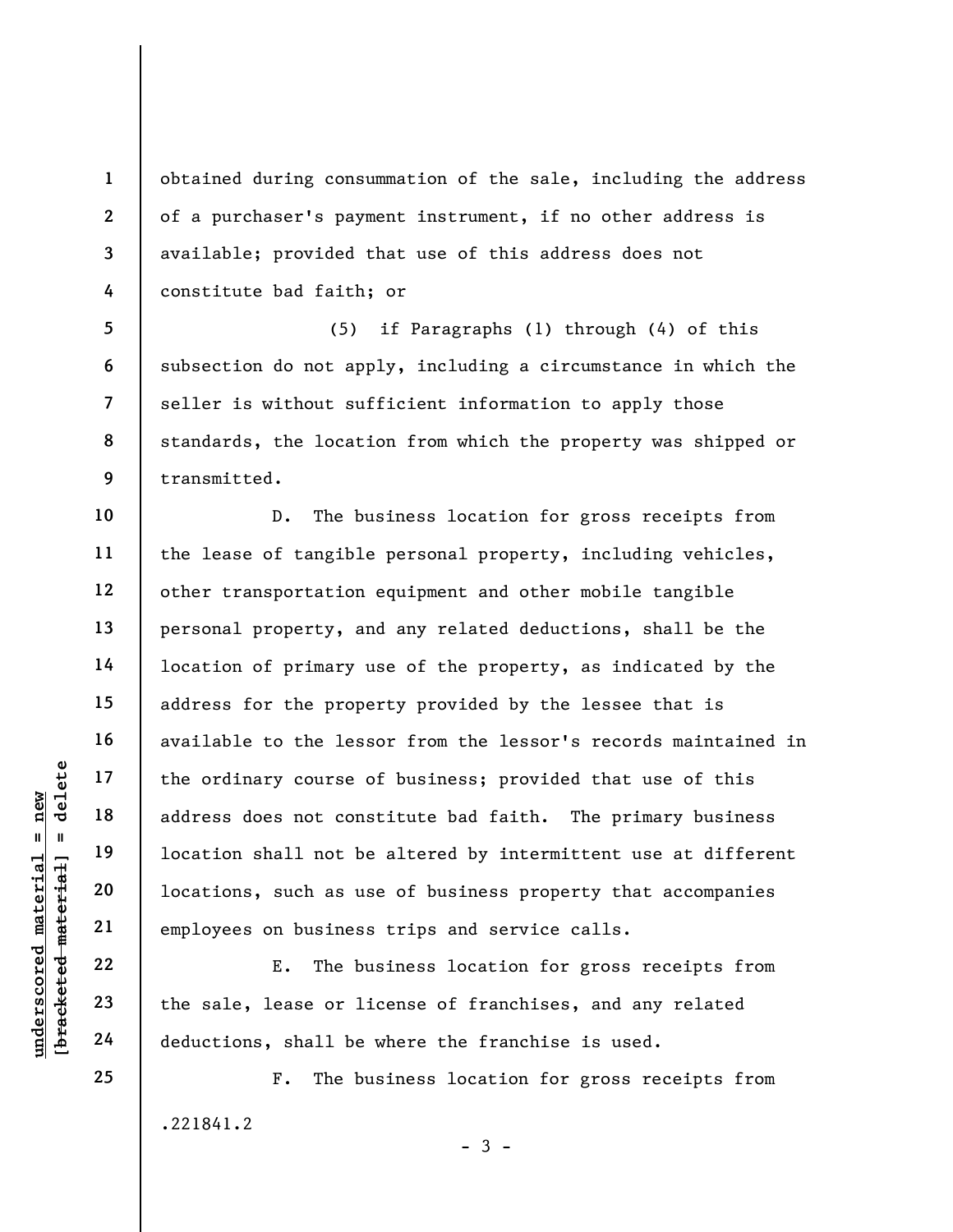obtained during consummation of the sale, including the address of a purchaser's payment instrument, if no other address is available; provided that use of this address does not constitute bad faith; or

5 6 7 8 9 (5) if Paragraphs (1) through (4) of this subsection do not apply, including a circumstance in which the seller is without sufficient information to apply those standards, the location from which the property was shipped or transmitted.

underscored material = new [bracketed material] = delete D. The business location for gross receipts from the lease of tangible personal property, including vehicles, other transportation equipment and other mobile tangible personal property, and any related deductions, shall be the location of primary use of the property, as indicated by the address for the property provided by the lessee that is available to the lessor from the lessor's records maintained in the ordinary course of business; provided that use of this address does not constitute bad faith. The primary business location shall not be altered by intermittent use at different locations, such as use of business property that accompanies employees on business trips and service calls.

E. The business location for gross receipts from the sale, lease or license of franchises, and any related deductions, shall be where the franchise is used.

F. The business location for gross receipts from .221841.2

 $-3 -$ 

25

1

2

3

4

10

11

12

13

14

15

16

17

18

19

20

21

22

23

24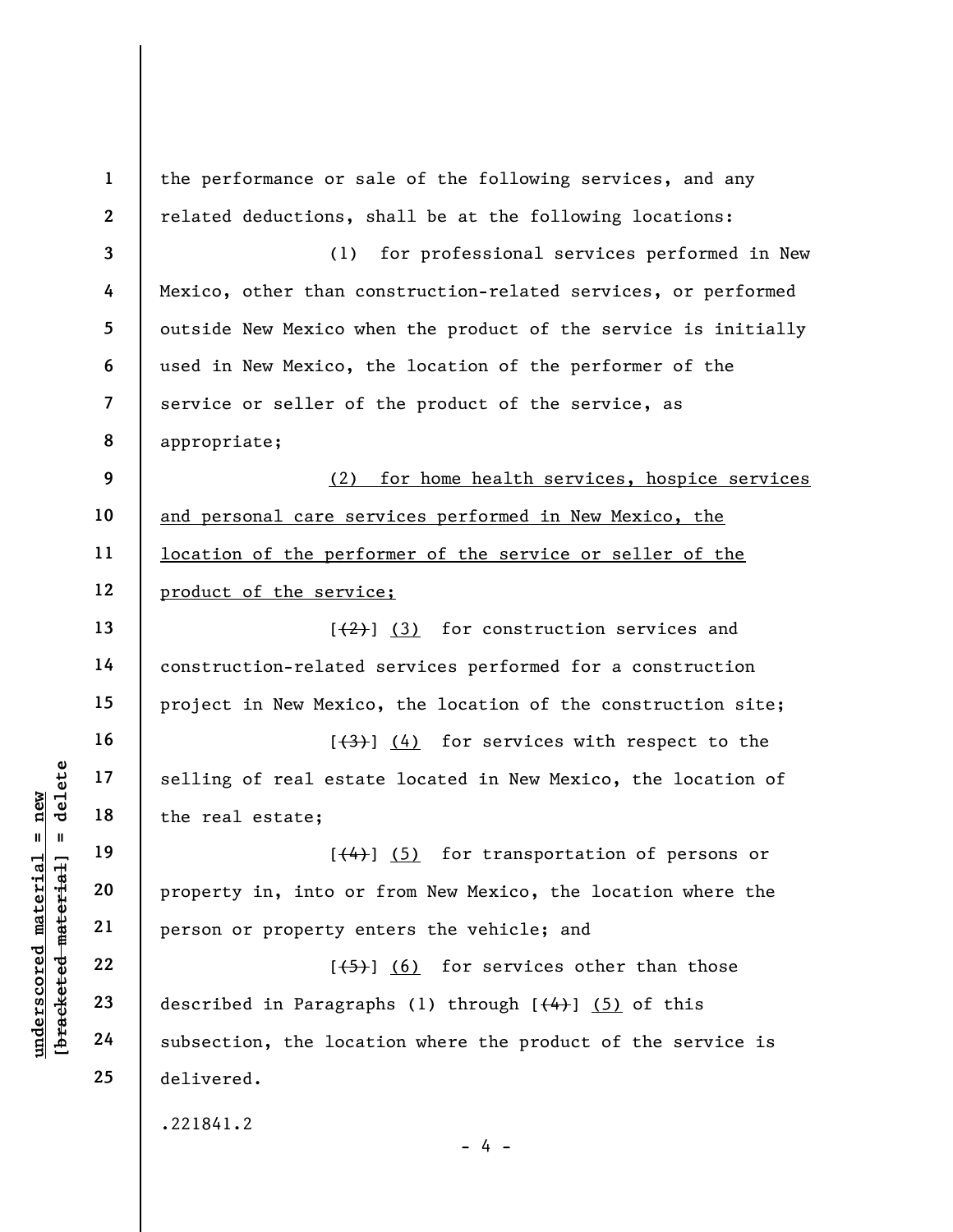under 17<br>  $\begin{array}{c|c|c|c} \n\text{u} & \text{u} & \text{u} & \text{u} & \text{u} & \text{u} & \text{u} & \text{u} & \text{u} & \text{u} & \text{u} & \text{u} & \text{u} & \text{u} & \text{u} & \text{u} & \text{u} & \text{u} & \text{u} & \text{u} & \text{u} & \text{u} & \text{u} & \text{u} & \text{u} & \text{u} & \text{u} & \text{u} & \text{u} & \text{u} & \text{u} & \text{u} & \text{$ 1 2 3 4 5 6 7 8 9 10 11 12 13 14 15 16 17 18 19 20 21 22 23 24 25 the performance or sale of the following services, and any related deductions, shall be at the following locations: (1) for professional services performed in New Mexico, other than construction-related services, or performed outside New Mexico when the product of the service is initially used in New Mexico, the location of the performer of the service or seller of the product of the service, as appropriate; (2) for home health services, hospice services and personal care services performed in New Mexico, the location of the performer of the service or seller of the product of the service;  $[2]$  (3) for construction services and construction-related services performed for a construction project in New Mexico, the location of the construction site;  $[\frac{1}{3}]$  (4) for services with respect to the selling of real estate located in New Mexico, the location of the real estate;  $[\frac{4}{4}]$  (5) for transportation of persons or property in, into or from New Mexico, the location where the person or property enters the vehicle; and  $[\frac{1}{5}]$  (6) for services other than those described in Paragraphs (1) through  $[$   $(4)$   $]$   $(5)$  of this subsection, the location where the product of the service is delivered. .221841.2  $- 4 -$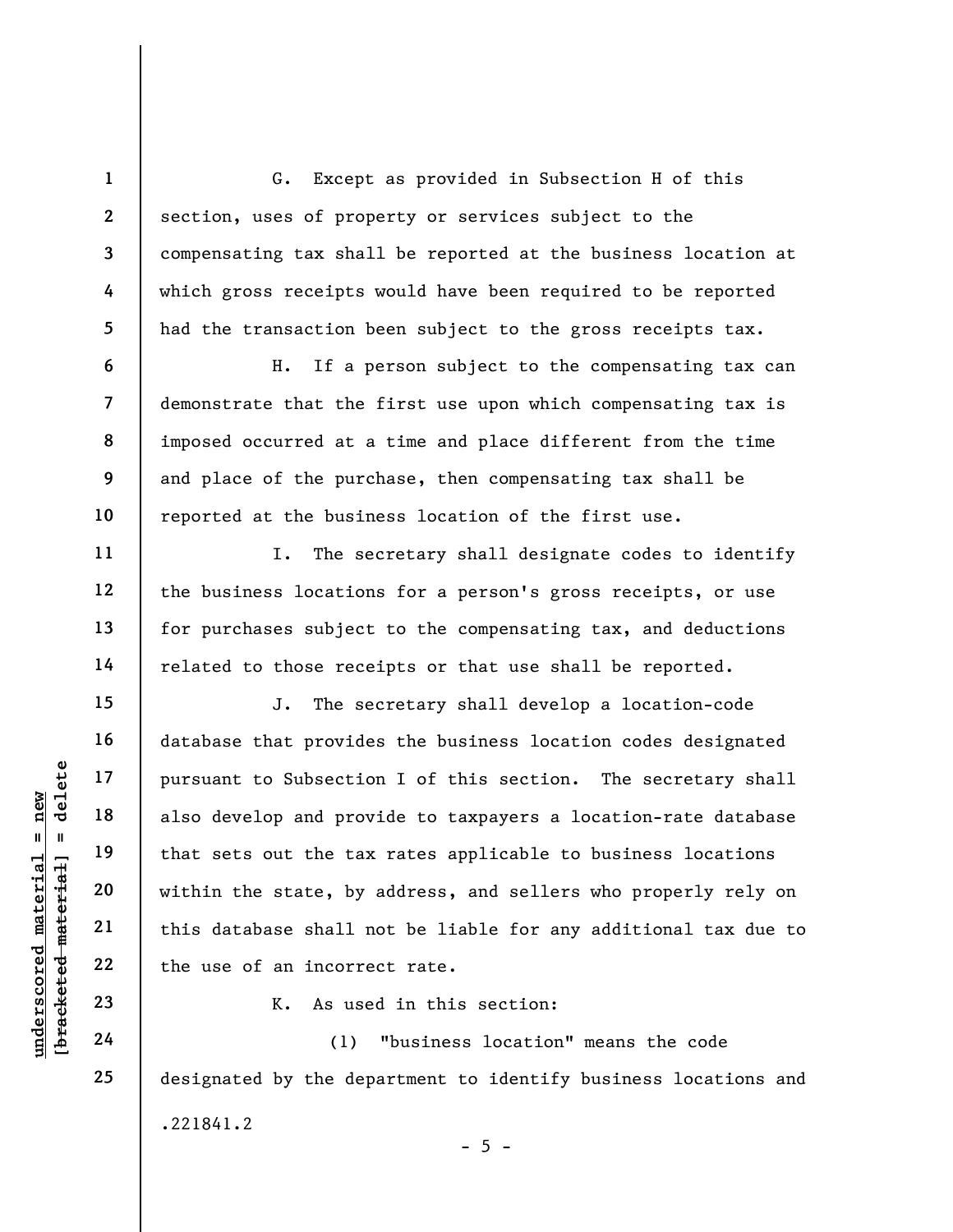G. Except as provided in Subsection H of this section, uses of property or services subject to the compensating tax shall be reported at the business location at which gross receipts would have been required to be reported had the transaction been subject to the gross receipts tax.

H. If a person subject to the compensating tax can demonstrate that the first use upon which compensating tax is imposed occurred at a time and place different from the time and place of the purchase, then compensating tax shall be reported at the business location of the first use.

I. The secretary shall designate codes to identify the business locations for a person's gross receipts, or use for purchases subject to the compensating tax, and deductions related to those receipts or that use shall be reported.

understand material material point of that sets out the tax within the state, by this database shall not the tax within the state, by this database shall not the tax within the state, by this database shall not the tax wit J. The secretary shall develop a location-code database that provides the business location codes designated pursuant to Subsection I of this section. The secretary shall also develop and provide to taxpayers a location-rate database that sets out the tax rates applicable to business locations within the state, by address, and sellers who properly rely on this database shall not be liable for any additional tax due to the use of an incorrect rate.

K. As used in this section:

(1) "business location" means the code designated by the department to identify business locations and .221841.2  $- 5 -$ 

1

2

3

4

5

6

7

8

9

10

11

12

13

14

15

16

17

18

19

20

21

22

23

24

25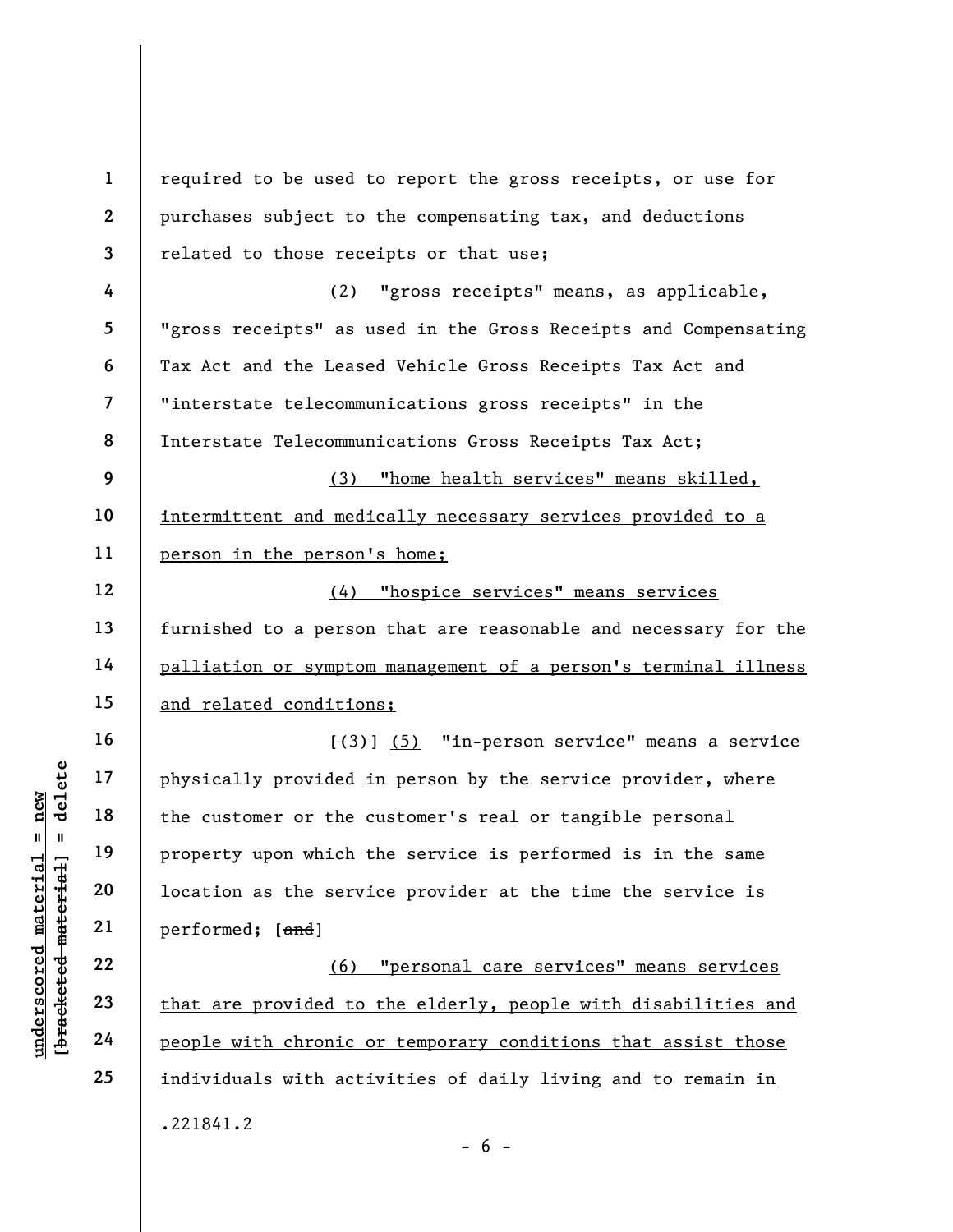| $\mathbf{1}$              | required to be used to report the gross receipts, or use for         |  |
|---------------------------|----------------------------------------------------------------------|--|
| $\overline{2}$            | purchases subject to the compensating tax, and deductions            |  |
| 3                         | related to those receipts or that use;                               |  |
| 4                         | "gross receipts" means, as applicable,<br>(2)                        |  |
| 5                         | "gross receipts" as used in the Gross Receipts and Compensating      |  |
| 6                         | Tax Act and the Leased Vehicle Gross Receipts Tax Act and            |  |
| $\overline{\mathbf{7}}$   | "interstate telecommunications gross receipts" in the                |  |
| 8<br>9                    | Interstate Telecommunications Gross Receipts Tax Act;                |  |
|                           | (3)<br>"home health services" means skilled,                         |  |
| 10                        | intermittent and medically necessary services provided to a          |  |
| 11                        | person in the person's home;                                         |  |
| 12                        | "hospice services" means services<br>(4)                             |  |
| 13                        | furnished to a person that are reasonable and necessary for the      |  |
| 14                        | palliation or symptom management of a person's terminal illness      |  |
| 15                        | and related conditions;                                              |  |
| 16                        | $[\frac{1}{3}, \frac{1}{3}]$ (5) "in-person service" means a service |  |
| 17                        | physically provided in person by the service provider, where         |  |
| 18                        | the customer or the customer's real or tangible personal             |  |
| 19                        | property upon which the service is performed is in the same          |  |
| 20                        | location as the service provider at the time the service is          |  |
| [bracketed material<br>21 | performed; [and]                                                     |  |
| 22                        | (6) "personal care services" means services                          |  |
| 23                        | that are provided to the elderly, people with disabilities and       |  |
| 24                        | people with chronic or temporary conditions that assist those        |  |
| 25                        | individuals with activities of daily living and to remain in         |  |
|                           | .221841.2<br>$-6 -$                                                  |  |
|                           |                                                                      |  |